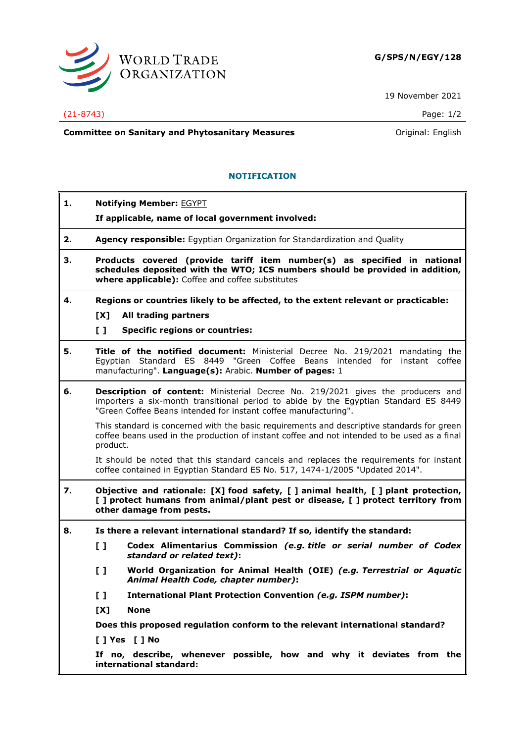

19 November 2021

## (21-8743) Page: 1/2

**Committee on Sanitary and Phytosanitary Measures Committee on Sanitary and Phytosanitary Measures Committee on Sanitary and Phytosanitary Measures** 

## **NOTIFICATION**

| 1. | <b>Notifying Member: EGYPT</b>                                                                                                                                                                                                                   |
|----|--------------------------------------------------------------------------------------------------------------------------------------------------------------------------------------------------------------------------------------------------|
|    | If applicable, name of local government involved:                                                                                                                                                                                                |
| 2. | Agency responsible: Egyptian Organization for Standardization and Quality                                                                                                                                                                        |
| 3. | Products covered (provide tariff item number(s) as specified in national<br>schedules deposited with the WTO; ICS numbers should be provided in addition,<br>where applicable): Coffee and coffee substitutes                                    |
| 4. | Regions or countries likely to be affected, to the extent relevant or practicable:                                                                                                                                                               |
|    | [X]<br>All trading partners                                                                                                                                                                                                                      |
|    | $\mathbf{L}$<br><b>Specific regions or countries:</b>                                                                                                                                                                                            |
| 5. | Title of the notified document: Ministerial Decree No. 219/2021 mandating the<br>Egyptian Standard ES 8449 "Green Coffee Beans intended for instant coffee<br>manufacturing". Language(s): Arabic. Number of pages: 1                            |
| 6. | <b>Description of content:</b> Ministerial Decree No. 219/2021 gives the producers and<br>importers a six-month transitional period to abide by the Egyptian Standard ES 8449<br>"Green Coffee Beans intended for instant coffee manufacturing". |
|    | This standard is concerned with the basic requirements and descriptive standards for green<br>coffee beans used in the production of instant coffee and not intended to be used as a final<br>product.                                           |
|    | It should be noted that this standard cancels and replaces the requirements for instant<br>coffee contained in Egyptian Standard ES No. 517, 1474-1/2005 "Updated 2014".                                                                         |
| 7. | Objective and rationale: [X] food safety, [ ] animal health, [ ] plant protection,<br>[] protect humans from animal/plant pest or disease, [] protect territory from<br>other damage from pests.                                                 |
| 8. | Is there a relevant international standard? If so, identify the standard:                                                                                                                                                                        |
|    | Codex Alimentarius Commission (e.g. title or serial number of Codex<br>[]<br>standard or related text):                                                                                                                                          |
|    | World Organization for Animal Health (OIE) (e.g. Terrestrial or Aquatic<br>$\mathbf{L}$<br>Animal Health Code, chapter number):                                                                                                                  |
|    | International Plant Protection Convention (e.g. ISPM number):<br>$\mathbf{L}$                                                                                                                                                                    |
|    | [X]<br><b>None</b>                                                                                                                                                                                                                               |
|    | Does this proposed regulation conform to the relevant international standard?                                                                                                                                                                    |
|    | [] Yes [] No                                                                                                                                                                                                                                     |
|    | If no, describe, whenever possible, how and why it deviates from the<br>international standard:                                                                                                                                                  |